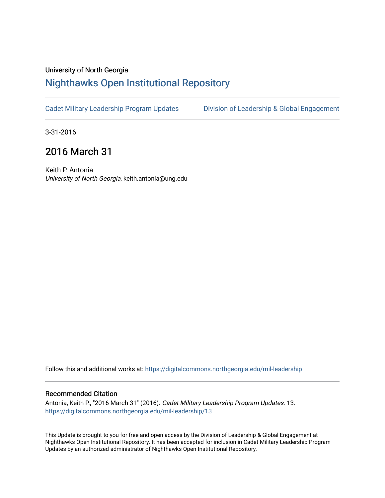### University of North Georgia

# [Nighthawks Open Institutional Repository](https://digitalcommons.northgeorgia.edu/)

[Cadet Military Leadership Program Updates](https://digitalcommons.northgeorgia.edu/mil-leadership) [Division of Leadership & Global Engagement](https://digitalcommons.northgeorgia.edu/leadership) 

3-31-2016

# 2016 March 31

Keith P. Antonia University of North Georgia, keith.antonia@ung.edu

Follow this and additional works at: [https://digitalcommons.northgeorgia.edu/mil-leadership](https://digitalcommons.northgeorgia.edu/mil-leadership?utm_source=digitalcommons.northgeorgia.edu%2Fmil-leadership%2F13&utm_medium=PDF&utm_campaign=PDFCoverPages) 

#### Recommended Citation

Antonia, Keith P., "2016 March 31" (2016). Cadet Military Leadership Program Updates. 13. [https://digitalcommons.northgeorgia.edu/mil-leadership/13](https://digitalcommons.northgeorgia.edu/mil-leadership/13?utm_source=digitalcommons.northgeorgia.edu%2Fmil-leadership%2F13&utm_medium=PDF&utm_campaign=PDFCoverPages)

This Update is brought to you for free and open access by the Division of Leadership & Global Engagement at Nighthawks Open Institutional Repository. It has been accepted for inclusion in Cadet Military Leadership Program Updates by an authorized administrator of Nighthawks Open Institutional Repository.